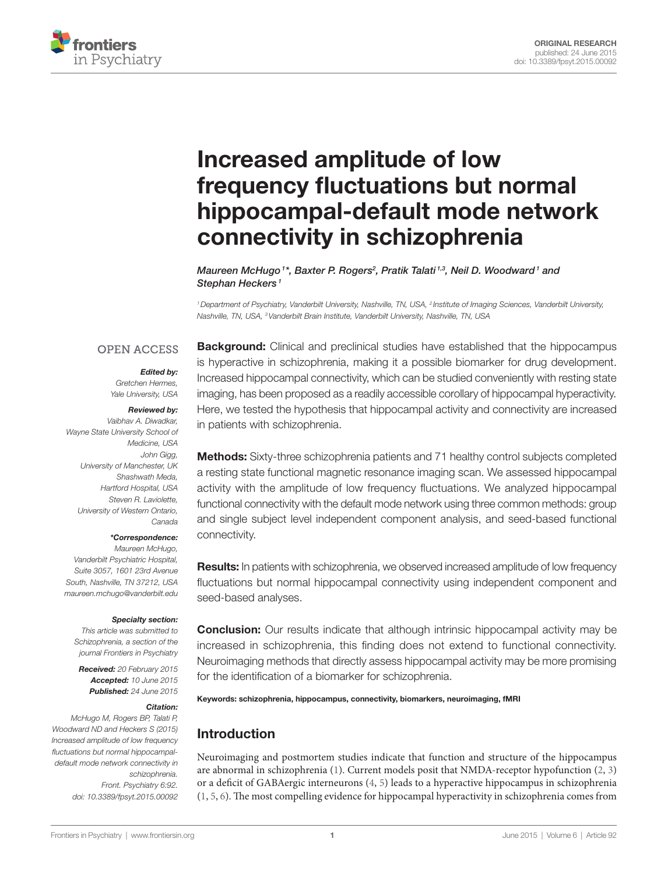

# Increased amplitude of low frequency fluctuations but normal hippocampal-default mode network connectivity in schizophrenia

*Maureen McHugo*<sup>1\*</sup>, *Baxter P. Rogers<sup>2</sup>, Pratik Talati*<sup>1,3</sup>, [Neil D. Woodward](http://loop.frontiersin.org/people/229670/overview)<sup>1</sup> and *[Stephan Heckers](http://loop.frontiersin.org/people/4703/overview) <sup>1</sup>*

*1Department of Psychiatry, Vanderbilt University, Nashville, TN, USA, 2 Institute of Imaging Sciences, Vanderbilt University, Nashville, TN, USA, 3Vanderbilt Brain Institute, Vanderbilt University, Nashville, TN, USA*

### **OPEN ACCESS**

#### *Edited by:*

*Gretchen Hermes, Yale University, USA*

#### *Reviewed by:*

*Vaibhav A. Diwadkar, Wayne State University School of Medicine, USA John Gigg, University of Manchester, UK Shashwath Meda, Hartford Hospital, USA Steven R. Laviolette, University of Western Ontario, Canada*

#### *\*Correspondence:*

 *Maureen McHugo, Vanderbilt Psychiatric Hospital, Suite 3057, 1601 23rd Avenue South, Nashville, TN 37212, USA [maureen.mchugo@vanderbilt.edu](mailto:maureen.mchugo@vanderbilt.edu)*

#### *Specialty section:*

*This article was submitted to Schizophrenia, a section of the journal Frontiers in Psychiatry*

*Received: 20 February 2015 Accepted: 10 June 2015 Published: 24 June 2015*

#### *Citation:*

*McHugo M, Rogers BP, Talati P, Woodward ND and Heckers S (2015) Increased amplitude of low frequency fluctuations but normal hippocampaldefault mode network connectivity in schizophrenia. Front. Psychiatry 6:92. doi: [10.3389/fpsyt.2015.00092](http://dx.doi.org/10.3389/fpsyt.2015.00092)* **Background:** Clinical and preclinical studies have established that the hippocampus is hyperactive in schizophrenia, making it a possible biomarker for drug development. Increased hippocampal connectivity, which can be studied conveniently with resting state imaging, has been proposed as a readily accessible corollary of hippocampal hyperactivity. Here, we tested the hypothesis that hippocampal activity and connectivity are increased in patients with schizophrenia.

Methods: Sixty-three schizophrenia patients and 71 healthy control subjects completed a resting state functional magnetic resonance imaging scan. We assessed hippocampal activity with the amplitude of low frequency fluctuations. We analyzed hippocampal functional connectivity with the default mode network using three common methods: group and single subject level independent component analysis, and seed-based functional connectivity.

**Results:** In patients with schizophrenia, we observed increased amplitude of low frequency fluctuations but normal hippocampal connectivity using independent component and seed-based analyses.

**Conclusion:** Our results indicate that although intrinsic hippocampal activity may be increased in schizophrenia, this finding does not extend to functional connectivity. Neuroimaging methods that directly assess hippocampal activity may be more promising for the identification of a biomarker for schizophrenia.

Keywords: schizophrenia, hippocampus, connectivity, biomarkers, neuroimaging, fMRI

# Introduction

Neuroimaging and postmortem studies indicate that function and structure of the hippocampus are abnormal in schizophrenia [\(1\)](#page-6-0). Current models posit that NMDA-receptor hypofunction [\(2,](#page-6-1) [3\)](#page-6-2) or a deficit of GABAergic interneurons [\(4,](#page-6-3) [5\)](#page-6-4) leads to a hyperactive hippocampus in schizophrenia [\(1,](#page-6-0) [5](#page-6-4), [6\)](#page-6-5). The most compelling evidence for hippocampal hyperactivity in schizophrenia comes from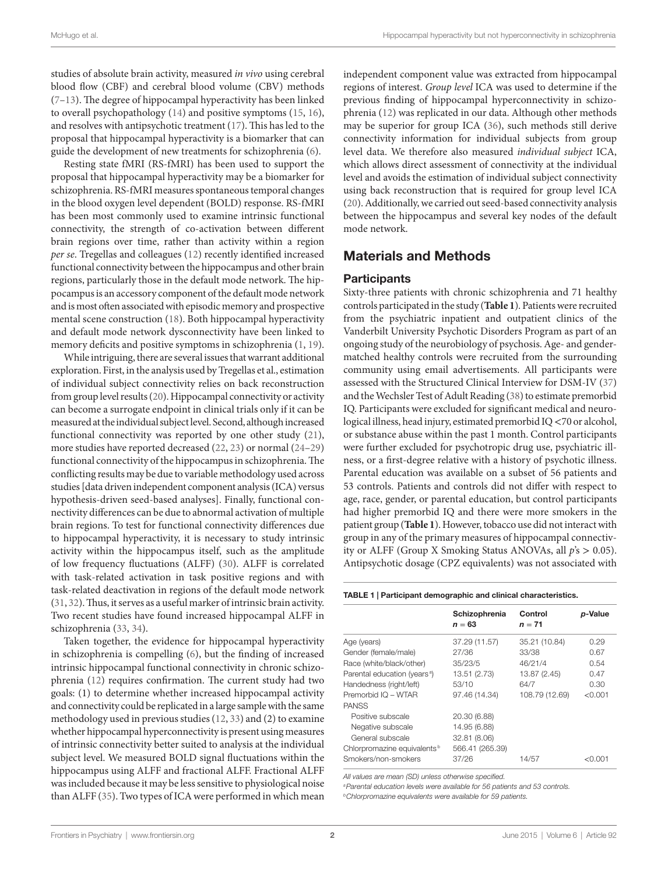studies of absolute brain activity, measured *in vivo* using cerebral blood flow (CBF) and cerebral blood volume (CBV) methods ([7](#page-6-6)[–13](#page-6-7)). The degree of hippocampal hyperactivity has been linked to overall psychopathology [\(14](#page-6-8)) and positive symptoms [\(15](#page-6-9), [16\)](#page-6-10), and resolves with antipsychotic treatment ([17](#page-6-11)). This has led to the proposal that hippocampal hyperactivity is a biomarker that can guide the development of new treatments for schizophrenia [\(6\)](#page-6-5).

Resting state fMRI (RS-fMRI) has been used to support the proposal that hippocampal hyperactivity may be a biomarker for schizophrenia. RS-fMRI measures spontaneous temporal changes in the blood oxygen level dependent (BOLD) response. RS-fMRI has been most commonly used to examine intrinsic functional connectivity, the strength of co-activation between different brain regions over time, rather than activity within a region *per se*. Tregellas and colleagues [\(12\)](#page-6-12) recently identified increased functional connectivity between the hippocampus and other brain regions, particularly those in the default mode network. The hippocampus is an accessory component of the default mode network and is most often associated with episodic memory and prospective mental scene construction [\(18\)](#page-6-13). Both hippocampal hyperactivity and default mode network dysconnectivity have been linked to memory deficits and positive symptoms in schizophrenia ([1](#page-6-0), [19\)](#page-7-0).

While intriguing, there are several issues that warrant additional exploration. First, in the analysis used by Tregellas et al., estimation of individual subject connectivity relies on back reconstruction from group level results [\(20](#page-7-1)). Hippocampal connectivity or activity can become a surrogate endpoint in clinical trials only if it can be measured at the individual subject level. Second, although increased functional connectivity was reported by one other study ([21\)](#page-7-2), more studies have reported decreased ([22](#page-7-3), [23](#page-7-4)) or normal ([24–](#page-7-5)[29\)](#page-7-6) functional connectivity of the hippocampus in schizophrenia. The conflicting results may be due to variable methodology used across studies [data driven independent component analysis (ICA) versus hypothesis-driven seed-based analyses]. Finally, functional connectivity differences can be due to abnormal activation of multiple brain regions. To test for functional connectivity differences due to hippocampal hyperactivity, it is necessary to study intrinsic activity within the hippocampus itself, such as the amplitude of low frequency fluctuations (ALFF) [\(30](#page-7-7)). ALFF is correlated with task-related activation in task positive regions and with task-related deactivation in regions of the default mode network ([31,](#page-7-8) [32](#page-7-9)). Thus, it serves as a useful marker of intrinsic brain activity. Two recent studies have found increased hippocampal ALFF in schizophrenia [\(33](#page-7-10), [34\)](#page-7-11).

Taken together, the evidence for hippocampal hyperactivity in schizophrenia is compelling [\(6\)](#page-6-5), but the finding of increased intrinsic hippocampal functional connectivity in chronic schizophrenia [\(12](#page-6-12)) requires confirmation. The current study had two goals: (1) to determine whether increased hippocampal activity and connectivity could be replicated in a large sample with the same methodology used in previous studies [\(12](#page-6-12), [33](#page-7-10)) and (2) to examine whether hippocampal hyperconnectivity is present using measures of intrinsic connectivity better suited to analysis at the individual subject level. We measured BOLD signal fluctuations within the hippocampus using ALFF and fractional ALFF. Fractional ALFF was included because it may be less sensitive to physiological noise than ALFF ([35\)](#page-7-12). Two types of ICA were performed in which mean independent component value was extracted from hippocampal regions of interest. *Group level* ICA was used to determine if the previous finding of hippocampal hyperconnectivity in schizophrenia ([12\)](#page-6-12) was replicated in our data. Although other methods may be superior for group ICA ([36\)](#page-7-13), such methods still derive connectivity information for individual subjects from group level data. We therefore also measured *individual subject* ICA, which allows direct assessment of connectivity at the individual level and avoids the estimation of individual subject connectivity using back reconstruction that is required for group level ICA [\(20](#page-7-1)). Additionally, we carried out seed-based connectivity analysis between the hippocampus and several key nodes of the default mode network.

# Materials and Methods

### **Participants**

Sixty-three patients with chronic schizophrenia and 71 healthy controls participated in the study (**[Table 1](#page-1-0)**). Patients were recruited from the psychiatric inpatient and outpatient clinics of the Vanderbilt University Psychotic Disorders Program as part of an ongoing study of the neurobiology of psychosis. Age- and gendermatched healthy controls were recruited from the surrounding community using email advertisements. All participants were assessed with the Structured Clinical Interview for DSM-IV ([37\)](#page-7-14) and the Wechsler Test of Adult Reading [\(38](#page-7-15)) to estimate premorbid IQ. Participants were excluded for significant medical and neurological illness, head injury, estimated premorbid IQ <70 or alcohol, or substance abuse within the past 1 month. Control participants were further excluded for psychotropic drug use, psychiatric illness, or a first-degree relative with a history of psychotic illness. Parental education was available on a subset of 56 patients and 53 controls. Patients and controls did not differ with respect to age, race, gender, or parental education, but control participants had higher premorbid IQ and there were more smokers in the patient group (**[Table 1](#page-1-0)**). However, tobacco use did not interact with group in any of the primary measures of hippocampal connectivity or ALFF (Group X Smoking Status ANOVAs, all *p*'s > 0.05). Antipsychotic dosage (CPZ equivalents) was not associated with

<span id="page-1-0"></span>Table 1 | Participant demographic and clinical characteristics.

|                                          | Schizophrenia<br>$n = 63$ | Control<br>$n = 71$ | p-Value   |
|------------------------------------------|---------------------------|---------------------|-----------|
| Age (years)                              | 37.29 (11.57)             | 35.21 (10.84)       | 0.29      |
| Gender (female/male)                     | 27/36                     | 33/38               | 0.67      |
| Race (white/black/other)                 | 35/23/5                   | 46/21/4             | 0.54      |
| Parental education (years <sup>a</sup> ) | 13.51 (2.73)              | 13.87 (2.45)        | 0.47      |
| Handedness (right/left)                  | 53/10                     | 64/7                | 0.30      |
| Premorbid IQ - WTAR                      | 97.46 (14.34)             | 108.79 (12.69)      | < 0.001   |
| <b>PANSS</b>                             |                           |                     |           |
| Positive subscale                        | 20.30 (6.88)              |                     |           |
| Negative subscale                        | 14.95 (6.88)              |                     |           |
| General subscale                         | 32.81 (8.06)              |                     |           |
| Chlorpromazine equivalents <sup>b</sup>  | 566.41 (265.39)           |                     |           |
| Smokers/non-smokers                      | 37/26                     | 14/57               | $<$ 0.001 |

*All values are mean (SD) unless otherwise specified.*

*aParental education levels were available for 56 patients and 53 controls.*

*bChlorpromazine equivalents were available for 59 patients.*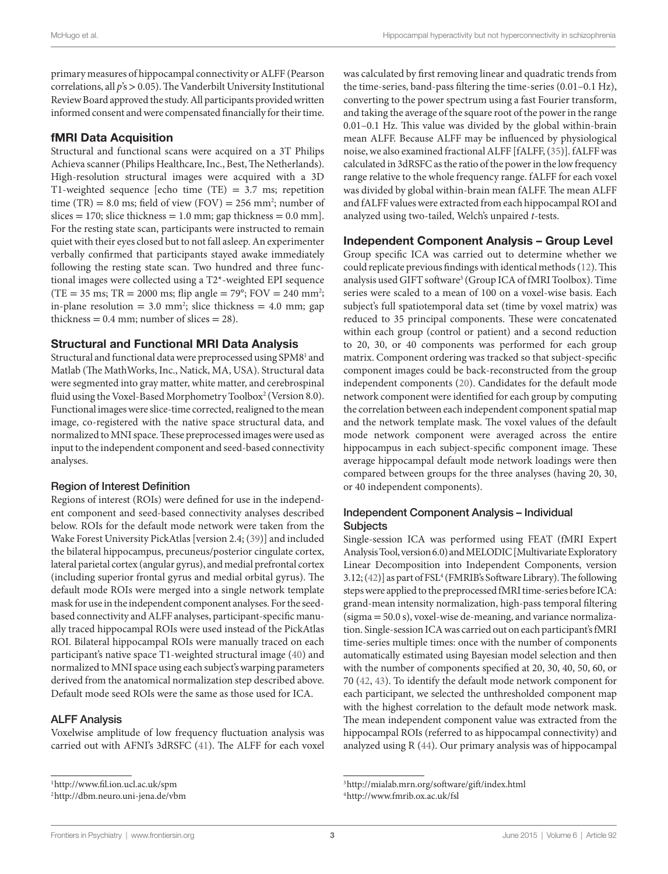primary measures of hippocampal connectivity or ALFF (Pearson correlations, all *p*'s > 0.05). The Vanderbilt University Institutional Review Board approved the study. All participants provided written informed consent and were compensated financially for their time.

## fMRI Data Acquisition

Structural and functional scans were acquired on a 3T Philips Achieva scanner (Philips Healthcare, Inc., Best, The Netherlands). High-resolution structural images were acquired with a 3D T1-weighted sequence [echo time (TE)  $= 3.7$  ms; repetition time (TR) =  $8.0 \text{ ms}$ ; field of view (FOV) =  $256 \text{ mm}^2$ ; number of slices = 170; slice thickness = 1.0 mm; gap thickness =  $0.0$  mm]. For the resting state scan, participants were instructed to remain quiet with their eyes closed but to not fall asleep. An experimenter verbally confirmed that participants stayed awake immediately following the resting state scan. Two hundred and three functional images were collected using a T2\*-weighted EPI sequence  $(TE = 35 \text{ ms}; TR = 2000 \text{ ms}; flip angle = 79^{\circ}; FOV = 240 \text{ mm}^2;$ in-plane resolution  $= 3.0$  mm<sup>2</sup>; slice thickness  $= 4.0$  mm; gap thickness  $= 0.4$  mm; number of slices  $= 28$ ).

## Structural and Functional MRI Data Analysis

<span id="page-2-3"></span><span id="page-2-2"></span>Structural and functional data were preprocessed using SPM8<sup>1</sup> and Matlab (The MathWorks, Inc., Natick, MA, USA). Structural data were segmented into gray matter, white matter, and cerebrospinal fluid using the Voxel-Based Morphometry Toolbox<sup>[2](#page-2-1)</sup> (Version 8.0). Functional images were slice-time corrected, realigned to the mean image, co-registered with the native space structural data, and normalized to MNI space. These preprocessed images were used as input to the independent component and seed-based connectivity analyses.

### Region of Interest Definition

Regions of interest (ROIs) were defined for use in the independent component and seed-based connectivity analyses described below. ROIs for the default mode network were taken from the Wake Forest University PickAtlas [version 2.4; ([39\)](#page-7-16)] and included the bilateral hippocampus, precuneus/posterior cingulate cortex, lateral parietal cortex (angular gyrus), and medial prefrontal cortex (including superior frontal gyrus and medial orbital gyrus). The default mode ROIs were merged into a single network template mask for use in the independent component analyses. For the seedbased connectivity and ALFF analyses, participant-specific manually traced hippocampal ROIs were used instead of the PickAtlas ROI. Bilateral hippocampal ROIs were manually traced on each participant's native space T1-weighted structural image [\(40](#page-7-17)) and normalized to MNI space using each subject's warping parameters derived from the anatomical normalization step described above. Default mode seed ROIs were the same as those used for ICA.

### ALFF Analysis

Voxelwise amplitude of low frequency fluctuation analysis was carried out with AFNI's 3dRSFC ([41\)](#page-7-18). The ALFF for each voxel was calculated by first removing linear and quadratic trends from the time-series, band-pass filtering the time-series (0.01–0.1 Hz), converting to the power spectrum using a fast Fourier transform, and taking the average of the square root of the power in the range 0.01–0.1 Hz. This value was divided by the global within-brain mean ALFF. Because ALFF may be influenced by physiological noise, we also examined fractional ALFF [fALFF, ([35\)](#page-7-12)]. fALFF was calculated in 3dRSFC as the ratio of the power in the low frequency range relative to the whole frequency range. fALFF for each voxel was divided by global within-brain mean fALFF. The mean ALFF and fALFF values were extracted from each hippocampal ROI and analyzed using two-tailed, Welch's unpaired *t*-tests.

# Independent Component Analysis – Group Level

<span id="page-2-6"></span>Group specific ICA was carried out to determine whether we could replicate previous findings with identical methods ([12\)](#page-6-12). This analysis used GIFT software<sup>3</sup> (Group ICA of fMRI Toolbox). Time series were scaled to a mean of 100 on a voxel-wise basis. Each subject's full spatiotemporal data set (time by voxel matrix) was reduced to 35 principal components. These were concatenated within each group (control or patient) and a second reduction to 20, 30, or 40 components was performed for each group matrix. Component ordering was tracked so that subject-specific component images could be back-reconstructed from the group independent components [\(20](#page-7-1)). Candidates for the default mode network component were identified for each group by computing the correlation between each independent component spatial map and the network template mask. The voxel values of the default mode network component were averaged across the entire hippocampus in each subject-specific component image. These average hippocampal default mode network loadings were then compared between groups for the three analyses (having 20, 30, or 40 independent components).

# Independent Component Analysis – Individual **Subjects**

<span id="page-2-7"></span>Single-session ICA was performed using FEAT (fMRI Expert Analysis Tool, version 6.0) and MELODIC [Multivariate Exploratory Linear Decomposition into Independent Components, version 3.12; [\(42\)](#page-7-19)] as part of FSL<sup>[4](#page-2-5)</sup> (FMRIB's Software Library). The following steps were applied to the preprocessed fMRI time-series before ICA: grand-mean intensity normalization, high-pass temporal filtering (sigma = 50.0 s), voxel-wise de-meaning, and variance normalization. Single-session ICA was carried out on each participant's fMRI time-series multiple times: once with the number of components automatically estimated using Bayesian model selection and then with the number of components specified at 20, 30, 40, 50, 60, or 70 ([42,](#page-7-19) [43](#page-7-20)). To identify the default mode network component for each participant, we selected the unthresholded component map with the highest correlation to the default mode network mask. The mean independent component value was extracted from the hippocampal ROIs (referred to as hippocampal connectivity) and analyzed using R [\(44](#page-7-21)). Our primary analysis was of hippocampal

<span id="page-2-0"></span>[<sup>1</sup>](#page-2-2)http://www.fil.ion.ucl.ac.uk/spm

<span id="page-2-1"></span>[<sup>2</sup>](#page-2-3)http://dbm.neuro.uni-jena.de/vbm

<span id="page-2-4"></span>[<sup>3</sup>](#page-2-6)http://mialab.mrn.org/software/gift/index.html

<span id="page-2-5"></span>[<sup>4</sup>](#page-2-7)<http://www.fmrib.ox.ac.uk/fsl>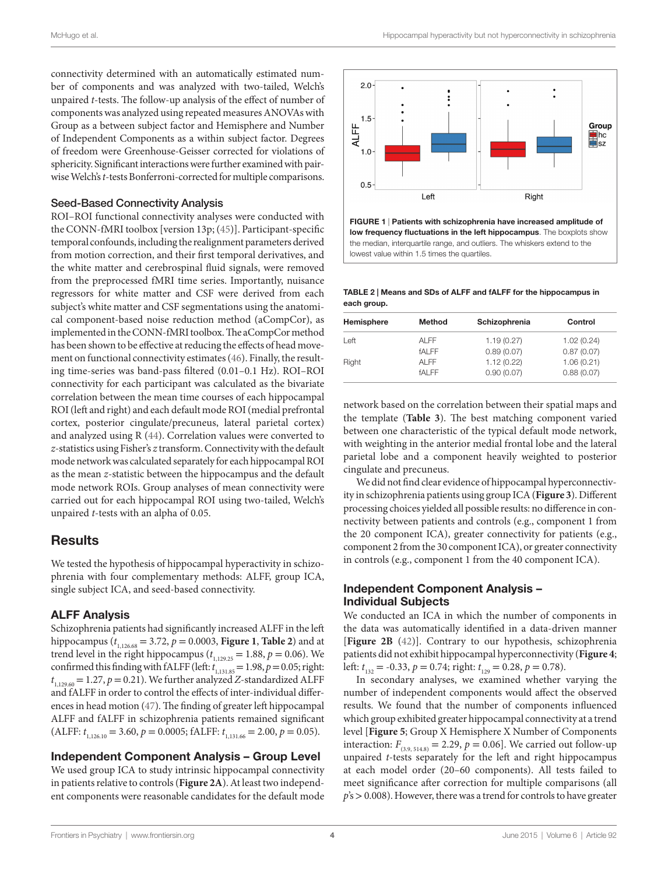connectivity determined with an automatically estimated number of components and was analyzed with two-tailed, Welch's unpaired *t*-tests. The follow-up analysis of the effect of number of components was analyzed using repeated measures ANOVAs with Group as a between subject factor and Hemisphere and Number of Independent Components as a within subject factor. Degrees of freedom were Greenhouse-Geisser corrected for violations of sphericity. Significant interactions were further examined with pairwise Welch's *t*-tests Bonferroni-corrected for multiple comparisons.

#### Seed-Based Connectivity Analysis

ROI–ROI functional connectivity analyses were conducted with the CONN-fMRI toolbox [version 13p; [\(45](#page-7-22))]. Participant-specific temporal confounds, including the realignment parameters derived from motion correction, and their first temporal derivatives, and the white matter and cerebrospinal fluid signals, were removed from the preprocessed fMRI time series. Importantly, nuisance regressors for white matter and CSF were derived from each subject's white matter and CSF segmentations using the anatomical component-based noise reduction method (aCompCor), as implemented in the CONN-fMRI toolbox. The aCompCor method has been shown to be effective at reducing the effects of head movement on functional connectivity estimates [\(46](#page-7-23)). Finally, the resulting time-series was band-pass filtered (0.01–0.1 Hz). ROI–ROI connectivity for each participant was calculated as the bivariate correlation between the mean time courses of each hippocampal ROI (left and right) and each default mode ROI (medial prefrontal cortex, posterior cingulate/precuneus, lateral parietal cortex) and analyzed using R [\(44](#page-7-21)). Correlation values were converted to *z*-statistics using Fisher's *z* transform. Connectivity with the default mode network was calculated separately for each hippocampal ROI as the mean *z*-statistic between the hippocampus and the default mode network ROIs. Group analyses of mean connectivity were carried out for each hippocampal ROI using two-tailed, Welch's unpaired *t*-tests with an alpha of 0.05.

## **Results**

We tested the hypothesis of hippocampal hyperactivity in schizophrenia with four complementary methods: ALFF, group ICA, single subject ICA, and seed-based connectivity.

#### ALFF Analysis

Schizophrenia patients had significantly increased ALFF in the left hippocampus ( $t_{1,126.68} = 3.72$ ,  $p = 0.0003$ , **[Figure 1](#page-3-0)**, **[Table 2](#page-3-1)**) and at trend level in the right hippocampus ( $t_{1,129.25} = 1.88$ ,  $p = 0.06$ ). We confirmed this finding with fALFF (left:  $t_{1,131.85} = 1.98$ ,  $p = 0.05$ ; right:  $t_{1,129.60} = 1.27, p = 0.21$ ). We further analyzed *Z*-standardized ALFF and fALFF in order to control the effects of inter-individual differences in head motion [\(47](#page-7-24)). The finding of greater left hippocampal ALFF and fALFF in schizophrenia patients remained significant  $(ALFF: t_{1,126.10} = 3.60, p = 0.0005; fALFF: t_{1,131.66} = 2.00, p = 0.05).$ 

### Independent Component Analysis – Group Level

We used group ICA to study intrinsic hippocampal connectivity in patients relative to controls (**[Figure 2A](#page-4-0)**). At least two independent components were reasonable candidates for the default mode



<span id="page-3-0"></span>FIGURE 1 | Patients with schizophrenia have increased amplitude of low frequency fluctuations in the left hippocampus. The boxplots show the median, interquartile range, and outliers. The whiskers extend to the lowest value within 1.5 times the quartiles.

<span id="page-3-1"></span>Table 2 | Means and SDs of ALFF and fALFF for the hippocampus in each group.

| Hemisphere | Method       | Schizophrenia | Control    |
|------------|--------------|---------------|------------|
| Left       | AI FF        | 1.19(0.27)    | 1.02(0.24) |
|            | <b>fALFF</b> | 0.89(0.07)    | 0.87(0.07) |
| Right      | AI FF        | 1.12(0.22)    | 1.06(0.21) |
|            | <b>fALFF</b> | 0.90(0.07)    | 0.88(0.07) |
|            |              |               |            |

network based on the correlation between their spatial maps and the template (**[Table 3](#page-4-1)**). The best matching component varied between one characteristic of the typical default mode network, with weighting in the anterior medial frontal lobe and the lateral parietal lobe and a component heavily weighted to posterior cingulate and precuneus.

We did not find clear evidence of hippocampal hyperconnectivity in schizophrenia patients using group ICA (**[Figure 3](#page-4-2)**). Different processing choices yielded all possible results: no difference in connectivity between patients and controls (e.g., component 1 from the 20 component ICA), greater connectivity for patients (e.g., component 2 from the 30 component ICA), or greater connectivity in controls (e.g., component 1 from the 40 component ICA).

#### Independent Component Analysis – Individual Subjects

We conducted an ICA in which the number of components in the data was automatically identified in a data-driven manner [**[Figure 2B](#page-4-0)** [\(42](#page-7-19))]. Contrary to our hypothesis, schizophrenia patients did not exhibit hippocampal hyperconnectivity (**[Figure 4](#page-5-0)**; left:  $t_{132} = -0.33$ ,  $p = 0.74$ ; right:  $t_{129} = 0.28$ ,  $p = 0.78$ ).

In secondary analyses, we examined whether varying the number of independent components would affect the observed results. We found that the number of components influenced which group exhibited greater hippocampal connectivity at a trend level [**[Figure 5](#page-5-1)**; Group X Hemisphere X Number of Components interaction:  $F_{(3,9, 514.8)} = 2.29$ ,  $p = 0.06$ ]. We carried out follow-up unpaired *t*-tests separately for the left and right hippocampus at each model order (20–60 components). All tests failed to meet significance after correction for multiple comparisons (all *p*'s > 0.008). However, there was a trend for controls to have greater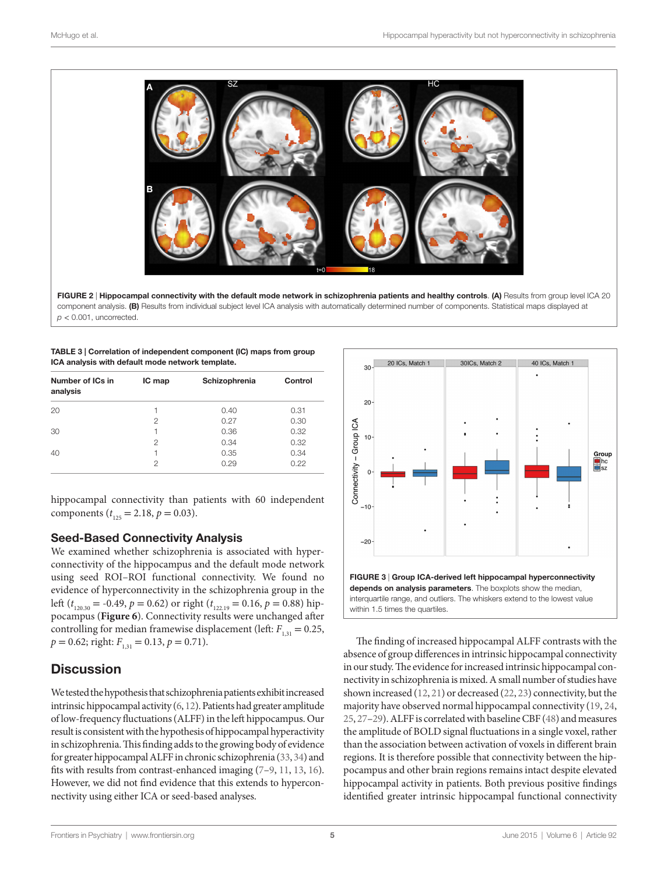

<span id="page-4-1"></span>

| TABLE 3   Correlation of independent component (IC) maps from group |
|---------------------------------------------------------------------|
| ICA analysis with default mode network template.                    |

| Number of ICs in<br>analysis | IC map         | Schizophrenia | Control |
|------------------------------|----------------|---------------|---------|
| 20                           |                | 0.40          | 0.31    |
|                              | $\mathfrak{p}$ | 0.27          | 0.30    |
| 30                           |                | 0.36          | 0.32    |
|                              | $\mathfrak{p}$ | 0.34          | 0.32    |
| 40                           |                | 0.35          | 0.34    |
|                              | 2              | 0.29          | 0.22    |

hippocampal connectivity than patients with 60 independent components ( $t_{125} = 2.18$ ,  $p = 0.03$ ).

## Seed-Based Connectivity Analysis

We examined whether schizophrenia is associated with hyperconnectivity of the hippocampus and the default mode network using seed ROI–ROI functional connectivity. We found no evidence of hyperconnectivity in the schizophrenia group in the left ( $t_{120.30}$  = -0.49,  $p = 0.62$ ) or right ( $t_{122.19}$  = 0.16,  $p = 0.88$ ) hippocampus (**[Figure 6](#page-5-2)**). Connectivity results were unchanged after controlling for median framewise displacement (left:  $F_{1,31} = 0.25$ ,  $p = 0.62$ ; right:  $F_{131} = 0.13$ ,  $p = 0.71$ ).

# **Discussion**

We tested the hypothesis that schizophrenia patients exhibit increased intrinsic hippocampal activity [\(6,](#page-6-5) [12\)](#page-6-12). Patients had greater amplitude of low-frequency fluctuations (ALFF) in the left hippocampus. Our result is consistent with the hypothesis of hippocampal hyperactivity in schizophrenia. This finding adds to the growing body of evidence for greater hippocampal ALFF in chronic schizophrenia ([33](#page-7-10), [34\)](#page-7-11) and fits with results from contrast-enhanced imaging ([7](#page-6-6)[–9,](#page-6-14) [11,](#page-6-15) [13,](#page-6-7) [16\)](#page-6-10). However, we did not find evidence that this extends to hyperconnectivity using either ICA or seed-based analyses.

<span id="page-4-0"></span>

<span id="page-4-2"></span>The finding of increased hippocampal ALFF contrasts with the absence of group differences in intrinsic hippocampal connectivity in our study. The evidence for increased intrinsic hippocampal connectivity in schizophrenia is mixed. A small number of studies have shown increased [\(12](#page-6-12), [21\)](#page-7-2) or decreased [\(22](#page-7-3), [23\)](#page-7-4) connectivity, but the majority have observed normal hippocampal connectivity ([19,](#page-7-0) [24,](#page-7-5) [25](#page-7-25), [27](#page-7-26)[–29](#page-7-6)). ALFF is correlated with baseline CBF [\(48](#page-7-27)) and measures the amplitude of BOLD signal fluctuations in a single voxel, rather than the association between activation of voxels in different brain regions. It is therefore possible that connectivity between the hippocampus and other brain regions remains intact despite elevated hippocampal activity in patients. Both previous positive findings identified greater intrinsic hippocampal functional connectivity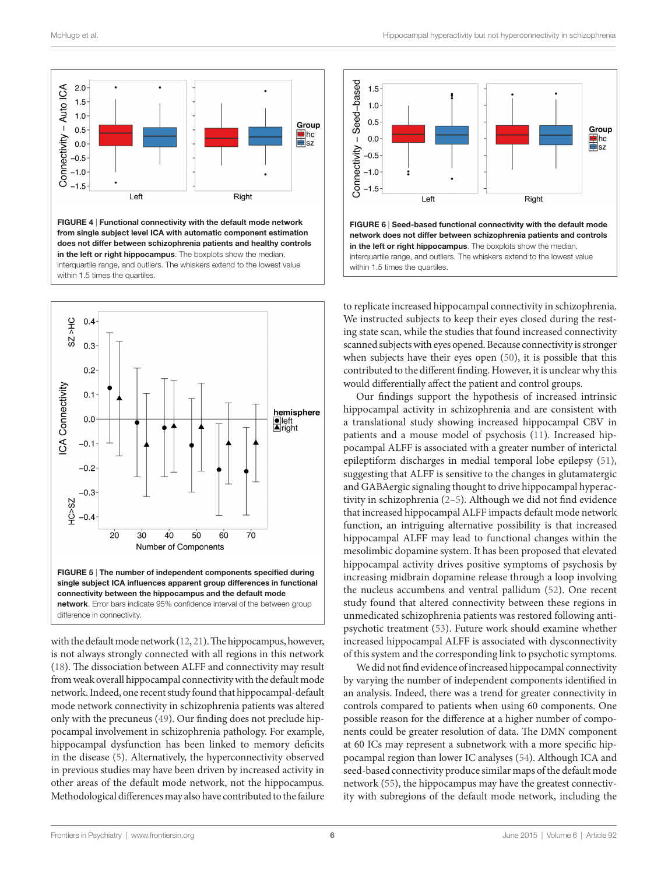

<span id="page-5-0"></span>FIGURE 4 | Functional connectivity with the default mode network from single subject level ICA with automatic component estimation does not differ between schizophrenia patients and healthy controls in the left or right hippocampus. The boxplots show the median, interquartile range, and outliers. The whiskers extend to the lowest value within 1.5 times the quartiles.



<span id="page-5-1"></span>difference in connectivity.

with the default mode network [\(12](#page-6-12), [21](#page-7-2)). The hippocampus, however, is not always strongly connected with all regions in this network ([18\)](#page-6-13). The dissociation between ALFF and connectivity may result from weak overall hippocampal connectivity with the default mode network. Indeed, one recent study found that hippocampal-default mode network connectivity in schizophrenia patients was altered only with the precuneus [\(49](#page-7-28)). Our finding does not preclude hippocampal involvement in schizophrenia pathology. For example, hippocampal dysfunction has been linked to memory deficits in the disease ([5](#page-6-4)). Alternatively, the hyperconnectivity observed in previous studies may have been driven by increased activity in other areas of the default mode network, not the hippocampus. Methodological differences may also have contributed to the failure



<span id="page-5-2"></span>to replicate increased hippocampal connectivity in schizophrenia. We instructed subjects to keep their eyes closed during the resting state scan, while the studies that found increased connectivity scanned subjects with eyes opened. Because connectivity is stronger when subjects have their eyes open [\(50](#page-7-29)), it is possible that this contributed to the different finding. However, it is unclear why this would differentially affect the patient and control groups.

Our findings support the hypothesis of increased intrinsic hippocampal activity in schizophrenia and are consistent with a translational study showing increased hippocampal CBV in patients and a mouse model of psychosis ([11\)](#page-6-15). Increased hippocampal ALFF is associated with a greater number of interictal epileptiform discharges in medial temporal lobe epilepsy [\(51](#page-7-30)), suggesting that ALFF is sensitive to the changes in glutamatergic and GABAergic signaling thought to drive hippocampal hyperactivity in schizophrenia ([2](#page-6-1)[–5\)](#page-6-4). Although we did not find evidence that increased hippocampal ALFF impacts default mode network function, an intriguing alternative possibility is that increased hippocampal ALFF may lead to functional changes within the mesolimbic dopamine system. It has been proposed that elevated hippocampal activity drives positive symptoms of psychosis by increasing midbrain dopamine release through a loop involving the nucleus accumbens and ventral pallidum ([52\)](#page-7-31). One recent study found that altered connectivity between these regions in unmedicated schizophrenia patients was restored following antipsychotic treatment [\(53](#page-7-32)). Future work should examine whether increased hippocampal ALFF is associated with dysconnectivity of this system and the corresponding link to psychotic symptoms.

We did not find evidence of increased hippocampal connectivity by varying the number of independent components identified in an analysis. Indeed, there was a trend for greater connectivity in controls compared to patients when using 60 components. One possible reason for the difference at a higher number of components could be greater resolution of data. The DMN component at 60 ICs may represent a subnetwork with a more specific hippocampal region than lower IC analyses ([54\)](#page-7-33). Although ICA and seed-based connectivity produce similar maps of the default mode network ([55\)](#page-7-34), the hippocampus may have the greatest connectivity with subregions of the default mode network, including the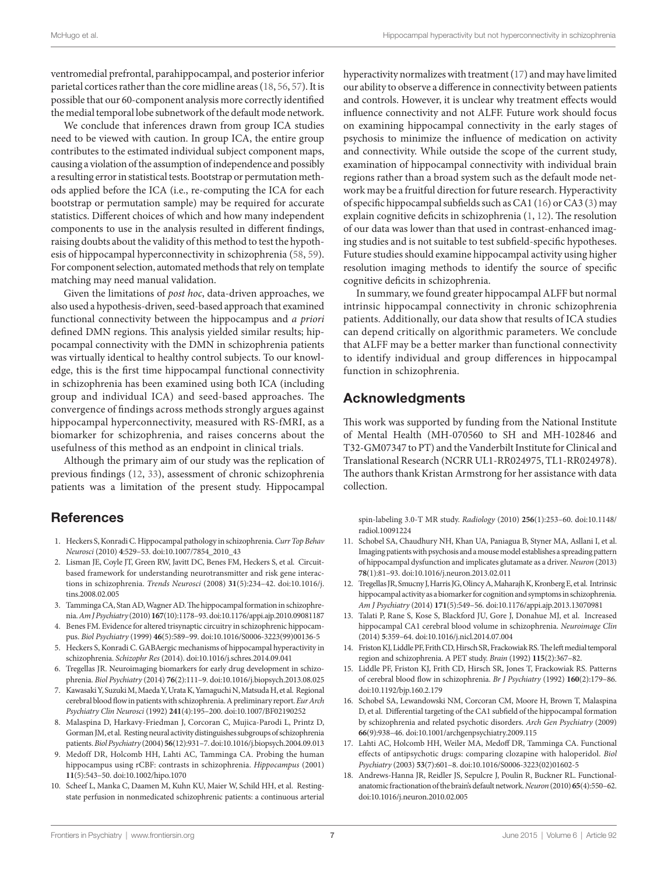ventromedial prefrontal, parahippocampal, and posterior inferior parietal cortices rather than the core midline areas ([18,](#page-6-13) [56](#page-7-35), [57](#page-7-36)). It is possible that our 60-component analysis more correctly identified the medial temporal lobe subnetwork of the default mode network.

We conclude that inferences drawn from group ICA studies need to be viewed with caution. In group ICA, the entire group contributes to the estimated individual subject component maps, causing a violation of the assumption of independence and possibly a resulting error in statistical tests. Bootstrap or permutation methods applied before the ICA (i.e., re-computing the ICA for each bootstrap or permutation sample) may be required for accurate statistics. Different choices of which and how many independent components to use in the analysis resulted in different findings, raising doubts about the validity of this method to test the hypothesis of hippocampal hyperconnectivity in schizophrenia [\(58](#page-7-37), [59\)](#page-7-38). For component selection, automated methods that rely on template matching may need manual validation.

Given the limitations of *post hoc*, data-driven approaches, we also used a hypothesis-driven, seed-based approach that examined functional connectivity between the hippocampus and *a priori* defined DMN regions. This analysis yielded similar results; hippocampal connectivity with the DMN in schizophrenia patients was virtually identical to healthy control subjects. To our knowledge, this is the first time hippocampal functional connectivity in schizophrenia has been examined using both ICA (including group and individual ICA) and seed-based approaches. The convergence of findings across methods strongly argues against hippocampal hyperconnectivity, measured with RS-fMRI, as a biomarker for schizophrenia, and raises concerns about the usefulness of this method as an endpoint in clinical trials.

Although the primary aim of our study was the replication of previous findings ([12,](#page-6-12) [33\)](#page-7-10), assessment of chronic schizophrenia patients was a limitation of the present study. Hippocampal

# **References**

- <span id="page-6-0"></span>1. Heckers S, Konradi C. Hippocampal pathology in schizophrenia. *Curr Top Behav Neurosci* (2010) **4**:529–53. doi[:10.1007/7854\\_2010\\_43](http://dx.doi.org/10.1007/7854_2010_43)
- <span id="page-6-1"></span>2. Lisman JE, Coyle JT, Green RW, Javitt DC, Benes FM, Heckers S, et al. Circuitbased framework for understanding neurotransmitter and risk gene interactions in schizophrenia. *Trends Neurosci* (2008) **31**(5):234–42. doi[:10.1016/j.](http://dx.doi.org/10.1016/j.tins.2008.02.005) [tins.2008.02.005](http://dx.doi.org/10.1016/j.tins.2008.02.005)
- <span id="page-6-2"></span>3. Tamminga CA, Stan AD, Wagner AD. The hippocampal formation in schizophrenia. *Am J Psychiatry* (2010) **167**(10):1178–93. doi[:10.1176/appi.ajp.2010.09081187](http://dx.doi.org/10.1176/appi.ajp.2010.09081187)
- <span id="page-6-3"></span>4. Benes FM. Evidence for altered trisynaptic circuitry in schizophrenic hippocampus. *Biol Psychiatry* (1999) **46**(5):589–99. doi[:10.1016/S0006-3223\(99\)00136-5](http://dx.doi.org/10.1016/S0006-3223(99)00136-5)
- <span id="page-6-4"></span>5. Heckers S, Konradi C. GABAergic mechanisms of hippocampal hyperactivity in schizophrenia. *Schizophr Res* (2014). doi[:10.1016/j.schres.2014.09.041](http://dx.doi.org/10.1016/j.schres.2014.09.041)
- <span id="page-6-5"></span>6. Tregellas JR. Neuroimaging biomarkers for early drug development in schizophrenia. *Biol Psychiatry* (2014) **76**(2):111–9. doi[:10.1016/j.biopsych.2013.08.025](http://dx.doi.org/10.1016/j.biopsych.2013.08.025)
- <span id="page-6-6"></span>7. Kawasaki Y, Suzuki M, Maeda Y, Urata K, Yamaguchi N, Matsuda H, et al. Regional cerebral blood flow in patients with schizophrenia. A preliminary report. *Eur Arch Psychiatry Clin Neurosci* (1992) **241**(4):195–200. doi[:10.1007/BF02190252](http://dx.doi.org/10.1007/BF02190252)
- 8. Malaspina D, Harkavy-Friedman J, Corcoran C, Mujica-Parodi L, Printz D, Gorman JM, et al. Resting neural activity distinguishes subgroups of schizophrenia patients. *Biol Psychiatry* (2004) **56**(12):931–7. doi:[10.1016/j.biopsych.2004.09.013](http://dx.doi.org/10.1016/j.biopsych.2004.09.013)
- <span id="page-6-14"></span>9. Medoff DR, Holcomb HH, Lahti AC, Tamminga CA. Probing the human hippocampus using rCBF: contrasts in schizophrenia. *Hippocampus* (2001) **11**(5):543–50. doi[:10.1002/hipo.1070](http://dx.doi.org/10.1002/hipo.1070)
- Scheef L, Manka C, Daamen M, Kuhn KU, Maier W, Schild HH, et al. Restingstate perfusion in nonmedicated schizophrenic patients: a continuous arterial

hyperactivity normalizes with treatment [\(17](#page-6-11)) and may have limited our ability to observe a difference in connectivity between patients and controls. However, it is unclear why treatment effects would influence connectivity and not ALFF. Future work should focus on examining hippocampal connectivity in the early stages of psychosis to minimize the influence of medication on activity and connectivity. While outside the scope of the current study, examination of hippocampal connectivity with individual brain regions rather than a broad system such as the default mode network may be a fruitful direction for future research. Hyperactivity of specific hippocampal subfields such as CA1 [\(16](#page-6-10)) or CA3 ([3](#page-6-2)) may explain cognitive deficits in schizophrenia ([1,](#page-6-0) [12\)](#page-6-12). The resolution of our data was lower than that used in contrast-enhanced imaging studies and is not suitable to test subfield-specific hypotheses. Future studies should examine hippocampal activity using higher resolution imaging methods to identify the source of specific cognitive deficits in schizophrenia.

In summary, we found greater hippocampal ALFF but normal intrinsic hippocampal connectivity in chronic schizophrenia patients. Additionally, our data show that results of ICA studies can depend critically on algorithmic parameters. We conclude that ALFF may be a better marker than functional connectivity to identify individual and group differences in hippocampal function in schizophrenia.

# Acknowledgments

This work was supported by funding from the National Institute of Mental Health (MH-070560 to SH and MH-102846 and T32-GM07347 to PT) and the Vanderbilt Institute for Clinical and Translational Research (NCRR UL1-RR024975, TL1-RR024978). The authors thank Kristan Armstrong for her assistance with data collection.

spin-labeling 3.0-T MR study. *Radiology* (2010) **256**(1):253–60. doi[:10.1148/](http://dx.doi.org/10.1148/radiol.10091224) [radiol.10091224](http://dx.doi.org/10.1148/radiol.10091224) 

- <span id="page-6-15"></span>11. Schobel SA, Chaudhury NH, Khan UA, Paniagua B, Styner MA, Asllani I, et al. Imaging patients with psychosis and a mouse model establishes a spreading pattern of hippocampal dysfunction and implicates glutamate as a driver. *Neuron* (2013) **78**(1):81–93. doi[:10.1016/j.neuron.2013.02.011](http://dx.doi.org/10.1016/j.neuron.2013.02.011)
- <span id="page-6-12"></span>12. Tregellas JR, Smucny J, Harris JG, Olincy A, Maharajh K, Kronberg E, et al. Intrinsic hippocampal activity as a biomarker for cognition and symptoms in schizophrenia. *Am J Psychiatry* (2014) **171**(5):549–56. doi[:10.1176/appi.ajp.2013.13070981](http://dx.doi.org/10.1176/appi.ajp.2013.13070981)
- <span id="page-6-7"></span>13. Talati P, Rane S, Kose S, Blackford JU, Gore J, Donahue MJ, et al. Increased hippocampal CA1 cerebral blood volume in schizophrenia. *Neuroimage Clin* (2014) **5**:359–64. doi[:10.1016/j.nicl.2014.07.004](http://dx.doi.org/10.1016/j.nicl.2014.07.004)
- <span id="page-6-8"></span>14. Friston KJ, Liddle PF, Frith CD, Hirsch SR, Frackowiak RS. The left medial temporal region and schizophrenia. A PET study. *Brain* (1992) **115**(2):367–82.
- <span id="page-6-9"></span>15. Liddle PF, Friston KJ, Frith CD, Hirsch SR, Jones T, Frackowiak RS. Patterns of cerebral blood flow in schizophrenia. *Br J Psychiatry* (1992) **160**(2):179–86. doi:[10.1192/bjp.160.2.179](http://dx.doi.org/10.1192/bjp.160.2.179)
- <span id="page-6-10"></span>16. Schobel SA, Lewandowski NM, Corcoran CM, Moore H, Brown T, Malaspina D, et al. Differential targeting of the CA1 subfield of the hippocampal formation by schizophrenia and related psychotic disorders. *Arch Gen Psychiatry* (2009) **66**(9):938–46. doi:[10.1001/archgenpsychiatry.2009.115](http://dx.doi.org/10.1001/archgenpsychiatry.2009.115)
- <span id="page-6-11"></span>17. Lahti AC, Holcomb HH, Weiler MA, Medoff DR, Tamminga CA. Functional effects of antipsychotic drugs: comparing clozapine with haloperidol. *Biol Psychiatry* (2003) **53**(7):601–8. doi[:10.1016/S0006-3223\(02\)01602-5](http://dx.doi.org/10.1016/S0006-3223(02)01602-5)
- <span id="page-6-13"></span>18. Andrews-Hanna JR, Reidler JS, Sepulcre J, Poulin R, Buckner RL. Functionalanatomic fractionation of the brain's default network. *Neuron* (2010) **65**(4):550–62. doi:[10.1016/j.neuron.2010.02.005](http://dx.doi.org/10.1016/j.neuron.2010.02.005)